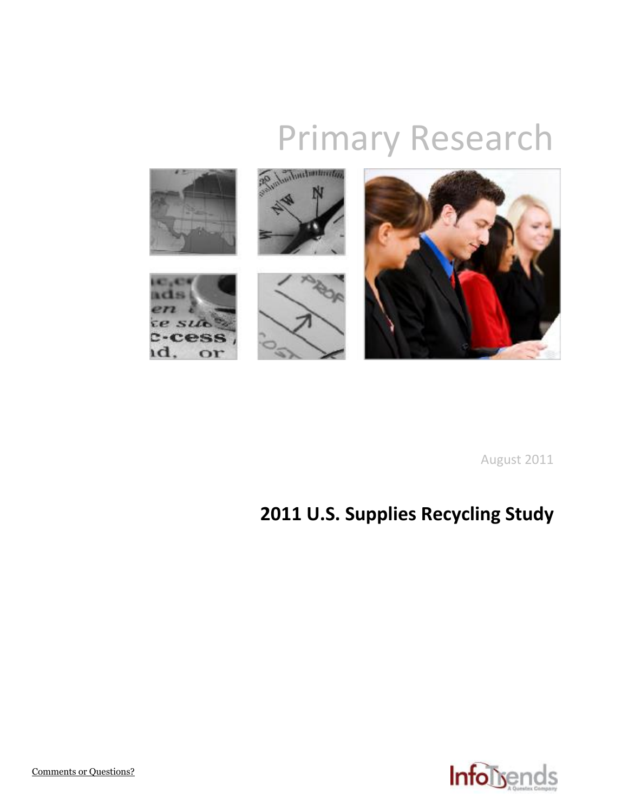# Primary Research



August 2011

# **2011 U.S. Supplies Recycling Study**

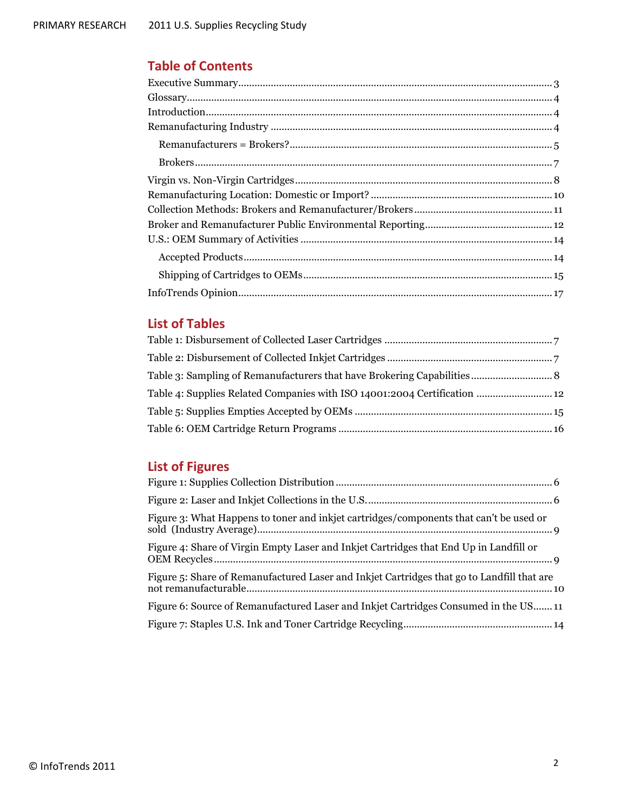## **Table of Contents**

| $\label{eq:Gloss} \begin{minipage}{0.9\linewidth} \textbf{Glossary}.\textcolor{blue}{\textbf{1:}\hspace{1.5em} \textbf{1:}\hspace{1.5em} \textbf{1:}\hspace{1.5em} \textbf{1:}\hspace{1.5em} \textbf{1:}\hspace{1.5em} \textbf{1:}\hspace{1.5em} \textbf{1:}\hspace{1.5em} \textbf{1:}\hspace{1.5em} \textbf{1:}\hspace{1.5em} \textbf{1:}\hspace{1.5em} \textbf{1:}\hspace{1.5em} \textbf{1:}\hspace{1.5em} \textbf{1$ |  |
|-------------------------------------------------------------------------------------------------------------------------------------------------------------------------------------------------------------------------------------------------------------------------------------------------------------------------------------------------------------------------------------------------------------------------|--|
|                                                                                                                                                                                                                                                                                                                                                                                                                         |  |
|                                                                                                                                                                                                                                                                                                                                                                                                                         |  |
| $\textbf{Remanufactures} = \textbf{Brokers?} \textit{} \textit{} \textit{} \textit{} \textit{} \textit{} \textit{} \textit{} \textit{} \textit{} \textit{} \textit{} \textit{} \textit{} \textit{} \textit{} \textit{} \textit{} \textit{} \textit{} \textit{} \textit{} \textit{} \textit{} \textit{} \textit{} \textit{} \textit{} \textit{} \textit{} \textit{} \textit{} \textit{} \textit$                         |  |
|                                                                                                                                                                                                                                                                                                                                                                                                                         |  |
|                                                                                                                                                                                                                                                                                                                                                                                                                         |  |
|                                                                                                                                                                                                                                                                                                                                                                                                                         |  |
|                                                                                                                                                                                                                                                                                                                                                                                                                         |  |
|                                                                                                                                                                                                                                                                                                                                                                                                                         |  |
|                                                                                                                                                                                                                                                                                                                                                                                                                         |  |
|                                                                                                                                                                                                                                                                                                                                                                                                                         |  |
|                                                                                                                                                                                                                                                                                                                                                                                                                         |  |
|                                                                                                                                                                                                                                                                                                                                                                                                                         |  |

### **List of Tables**

| Table 4: Supplies Related Companies with ISO 14001:2004 Certification  12 |  |
|---------------------------------------------------------------------------|--|
|                                                                           |  |
|                                                                           |  |

# **List of Figures**

<span id="page-1-0"></span>

| Figure 3: What Happens to toner and inkjet cartridges/components that can't be used or     |
|--------------------------------------------------------------------------------------------|
| Figure 4: Share of Virgin Empty Laser and Inkjet Cartridges that End Up in Landfill or     |
| Figure 5: Share of Remanufactured Laser and Inkjet Cartridges that go to Landfill that are |
| Figure 6: Source of Remanufactured Laser and Inkjet Cartridges Consumed in the US 11       |
|                                                                                            |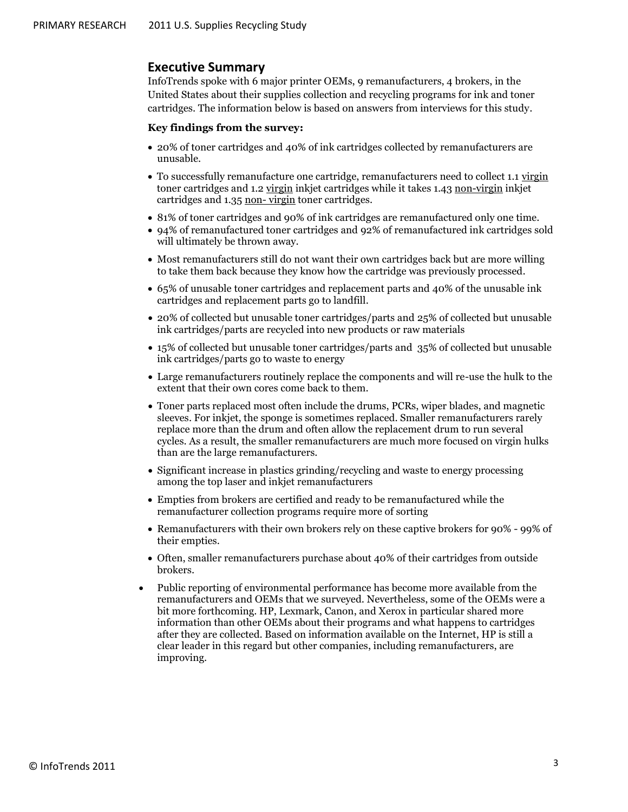#### **Executive Summary**

InfoTrends spoke with 6 major printer OEMs, 9 remanufacturers, 4 brokers, in the United States about their supplies collection and recycling programs for ink and toner cartridges. The information below is based on answers from interviews for this study.

#### **Key findings from the survey:**

- 20% of toner cartridges and 40% of ink cartridges collected by remanufacturers are unusable.
- To successfully remanufacture one cartridge, remanufacturers need to collect 1.1 virgin toner cartridges and 1.2 virgin inkjet cartridges while it takes 1.43 non-virgin inkjet cartridges and 1.35 non- virgin toner cartridges.
- 81% of toner cartridges and 90% of ink cartridges are remanufactured only one time.
- 94% of remanufactured toner cartridges and 92% of remanufactured ink cartridges sold will ultimately be thrown away.
- Most remanufacturers still do not want their own cartridges back but are more willing to take them back because they know how the cartridge was previously processed.
- 65% of unusable toner cartridges and replacement parts and 40% of the unusable ink cartridges and replacement parts go to landfill.
- 20% of collected but unusable toner cartridges/parts and 25% of collected but unusable ink cartridges/parts are recycled into new products or raw materials
- 15% of collected but unusable toner cartridges/parts and 35% of collected but unusable ink cartridges/parts go to waste to energy
- Large remanufacturers routinely replace the components and will re-use the hulk to the extent that their own cores come back to them.
- Toner parts replaced most often include the drums, PCRs, wiper blades, and magnetic sleeves. For inkjet, the sponge is sometimes replaced. Smaller remanufacturers rarely replace more than the drum and often allow the replacement drum to run several cycles. As a result, the smaller remanufacturers are much more focused on virgin hulks than are the large remanufacturers.
- Significant increase in plastics grinding/recycling and waste to energy processing among the top laser and inkjet remanufacturers
- Empties from brokers are certified and ready to be remanufactured while the remanufacturer collection programs require more of sorting
- Remanufacturers with their own brokers rely on these captive brokers for 90% 99% of their empties.
- Often, smaller remanufacturers purchase about 40% of their cartridges from outside brokers.
- Public reporting of environmental performance has become more available from the remanufacturers and OEMs that we surveyed. Nevertheless, some of the OEMs were a bit more forthcoming. HP, Lexmark, Canon, and Xerox in particular shared more information than other OEMs about their programs and what happens to cartridges after they are collected. Based on information available on the Internet, HP is still a clear leader in this regard but other companies, including remanufacturers, are improving.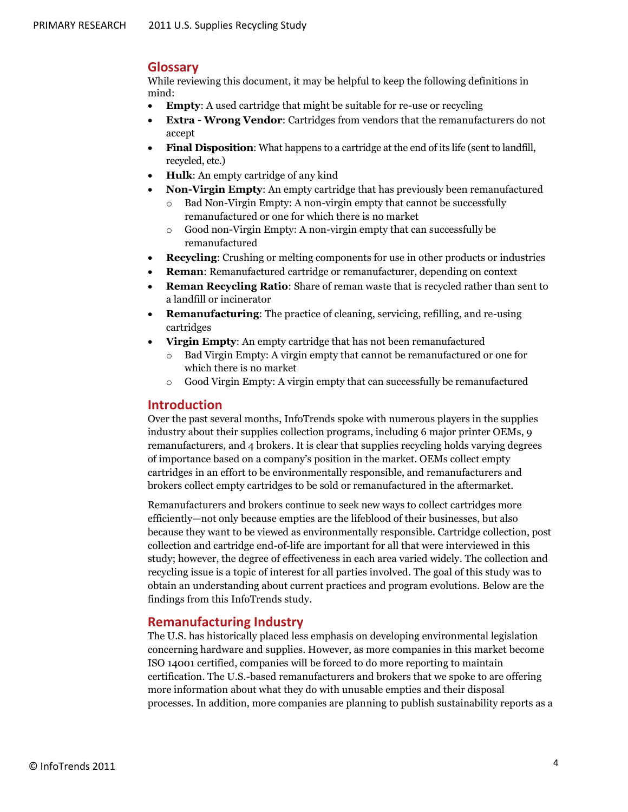#### <span id="page-3-0"></span>**Glossary**

While reviewing this document, it may be helpful to keep the following definitions in mind:

- **Empty**: A used cartridge that might be suitable for re-use or recycling
- **Extra - Wrong Vendor**: Cartridges from vendors that the remanufacturers do not accept
- **Final Disposition**: What happens to a cartridge at the end of its life (sent to landfill, recycled, etc.)
- **Hulk**: An empty cartridge of any kind
- **Non-Virgin Empty**: An empty cartridge that has previously been remanufactured
	- Bad Non-Virgin Empty: A non-virgin empty that cannot be successfully remanufactured or one for which there is no market
	- o Good non-Virgin Empty: A non-virgin empty that can successfully be remanufactured
- **Recycling**: Crushing or melting components for use in other products or industries
- **Reman**: Remanufactured cartridge or remanufacturer, depending on context
- **Reman Recycling Ratio**: Share of reman waste that is recycled rather than sent to a landfill or incinerator
- **Remanufacturing**: The practice of cleaning, servicing, refilling, and re-using cartridges
- **Virgin Empty**: An empty cartridge that has not been remanufactured
	- Bad Virgin Empty: A virgin empty that cannot be remanufactured or one for which there is no market
	- o Good Virgin Empty: A virgin empty that can successfully be remanufactured

#### <span id="page-3-1"></span>**Introduction**

Over the past several months, InfoTrends spoke with numerous players in the supplies industry about their supplies collection programs, including 6 major printer OEMs, 9 remanufacturers, and 4 brokers. It is clear that supplies recycling holds varying degrees of importance based on a company's position in the market. OEMs collect empty cartridges in an effort to be environmentally responsible, and remanufacturers and brokers collect empty cartridges to be sold or remanufactured in the aftermarket.

Remanufacturers and brokers continue to seek new ways to collect cartridges more efficiently—not only because empties are the lifeblood of their businesses, but also because they want to be viewed as environmentally responsible. Cartridge collection, post collection and cartridge end-of-life are important for all that were interviewed in this study; however, the degree of effectiveness in each area varied widely. The collection and recycling issue is a topic of interest for all parties involved. The goal of this study was to obtain an understanding about current practices and program evolutions. Below are the findings from this InfoTrends study.

#### <span id="page-3-2"></span>**Remanufacturing Industry**

The U.S. has historically placed less emphasis on developing environmental legislation concerning hardware and supplies. However, as more companies in this market become ISO 14001 certified, companies will be forced to do more reporting to maintain certification. The U.S.-based remanufacturers and brokers that we spoke to are offering more information about what they do with unusable empties and their disposal processes. In addition, more companies are planning to publish sustainability reports as a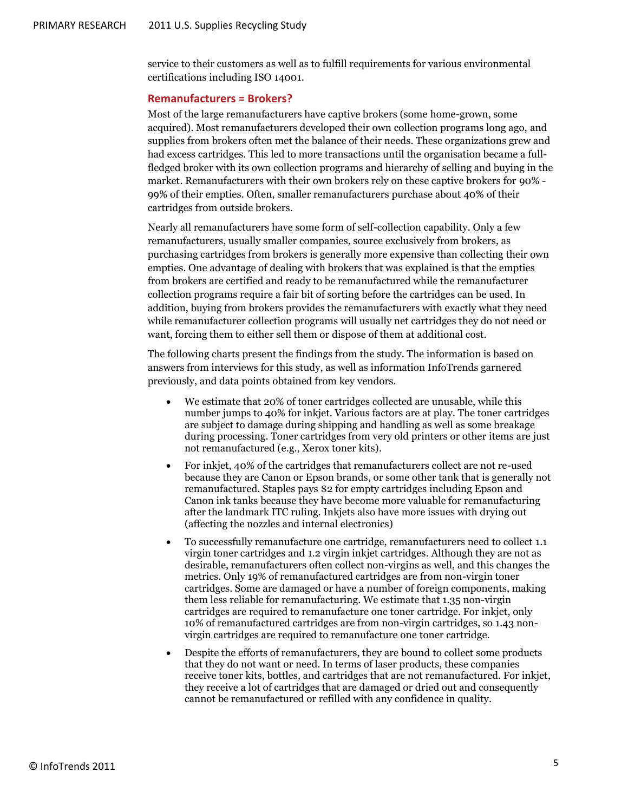service to their customers as well as to fulfill requirements for various environmental certifications including ISO 14001.

#### <span id="page-4-0"></span>**Remanufacturers = Brokers?**

Most of the large remanufacturers have captive brokers (some home-grown, some acquired). Most remanufacturers developed their own collection programs long ago, and supplies from brokers often met the balance of their needs. These organizations grew and had excess cartridges. This led to more transactions until the organisation became a fullfledged broker with its own collection programs and hierarchy of selling and buying in the market. Remanufacturers with their own brokers rely on these captive brokers for 90% - 99% of their empties. Often, smaller remanufacturers purchase about 40% of their cartridges from outside brokers.

Nearly all remanufacturers have some form of self-collection capability. Only a few remanufacturers, usually smaller companies, source exclusively from brokers, as purchasing cartridges from brokers is generally more expensive than collecting their own empties. One advantage of dealing with brokers that was explained is that the empties from brokers are certified and ready to be remanufactured while the remanufacturer collection programs require a fair bit of sorting before the cartridges can be used. In addition, buying from brokers provides the remanufacturers with exactly what they need while remanufacturer collection programs will usually net cartridges they do not need or want, forcing them to either sell them or dispose of them at additional cost.

The following charts present the findings from the study. The information is based on answers from interviews for this study, as well as information InfoTrends garnered previously, and data points obtained from key vendors.

- We estimate that 20% of toner cartridges collected are unusable, while this number jumps to 40% for inkjet. Various factors are at play. The toner cartridges are subject to damage during shipping and handling as well as some breakage during processing. Toner cartridges from very old printers or other items are just not remanufactured (e.g., Xerox toner kits).
- For inkjet, 40% of the cartridges that remanufacturers collect are not re-used because they are Canon or Epson brands, or some other tank that is generally not remanufactured. Staples pays \$2 for empty cartridges including Epson and Canon ink tanks because they have become more valuable for remanufacturing after the landmark ITC ruling. Inkjets also have more issues with drying out (affecting the nozzles and internal electronics)
- To successfully remanufacture one cartridge, remanufacturers need to collect 1.1 virgin toner cartridges and 1.2 virgin inkjet cartridges. Although they are not as desirable, remanufacturers often collect non-virgins as well, and this changes the metrics. Only 19% of remanufactured cartridges are from non-virgin toner cartridges. Some are damaged or have a number of foreign components, making them less reliable for remanufacturing. We estimate that 1.35 non-virgin cartridges are required to remanufacture one toner cartridge. For inkjet, only 10% of remanufactured cartridges are from non-virgin cartridges, so 1.43 nonvirgin cartridges are required to remanufacture one toner cartridge.
- Despite the efforts of remanufacturers, they are bound to collect some products that they do not want or need. In terms of laser products, these companies receive toner kits, bottles, and cartridges that are not remanufactured. For inkjet, they receive a lot of cartridges that are damaged or dried out and consequently cannot be remanufactured or refilled with any confidence in quality.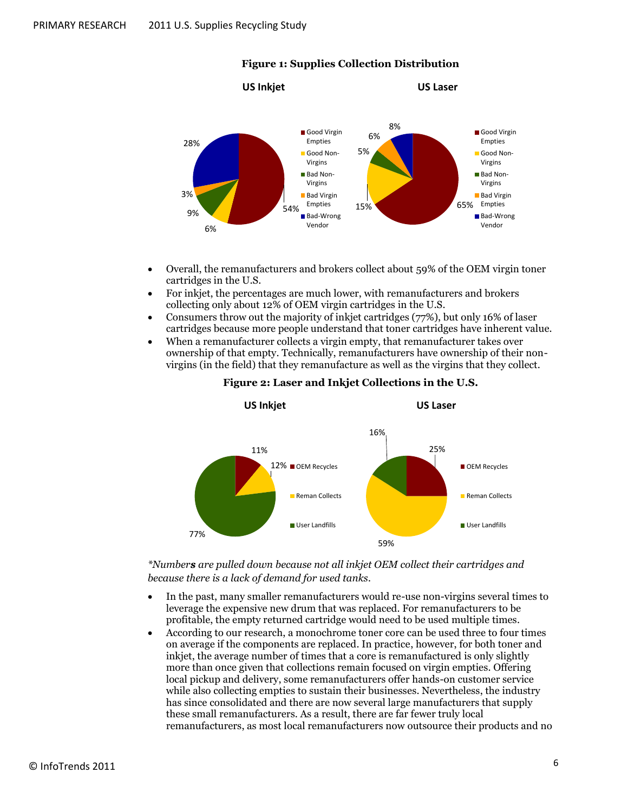<span id="page-5-0"></span>

#### **Figure 1: Supplies Collection Distribution**

- Overall, the remanufacturers and brokers collect about 59% of the OEM virgin toner cartridges in the U.S.
- For inkjet, the percentages are much lower, with remanufacturers and brokers collecting only about 12% of OEM virgin cartridges in the U.S.
- Consumers throw out the majority of inkjet cartridges (77%), but only 16% of laser cartridges because more people understand that toner cartridges have inherent value.
- <span id="page-5-1"></span> When a remanufacturer collects a virgin empty, that remanufacturer takes over ownership of that empty. Technically, remanufacturers have ownership of their nonvirgins (in the field) that they remanufacture as well as the virgins that they collect.



#### **Figure 2: Laser and Inkjet Collections in the U.S.**

*\*Numbers are pulled down because not all inkjet OEM collect their cartridges and because there is a lack of demand for used tanks.*

- In the past, many smaller remanufacturers would re-use non-virgins several times to leverage the expensive new drum that was replaced. For remanufacturers to be profitable, the empty returned cartridge would need to be used multiple times.
- According to our research, a monochrome toner core can be used three to four times on average if the components are replaced. In practice, however, for both toner and inkjet, the average number of times that a core is remanufactured is only slightly more than once given that collections remain focused on virgin empties. Offering local pickup and delivery, some remanufacturers offer hands-on customer service while also collecting empties to sustain their businesses. Nevertheless, the industry has since consolidated and there are now several large manufacturers that supply these small remanufacturers. As a result, there are far fewer truly local remanufacturers, as most local remanufacturers now outsource their products and no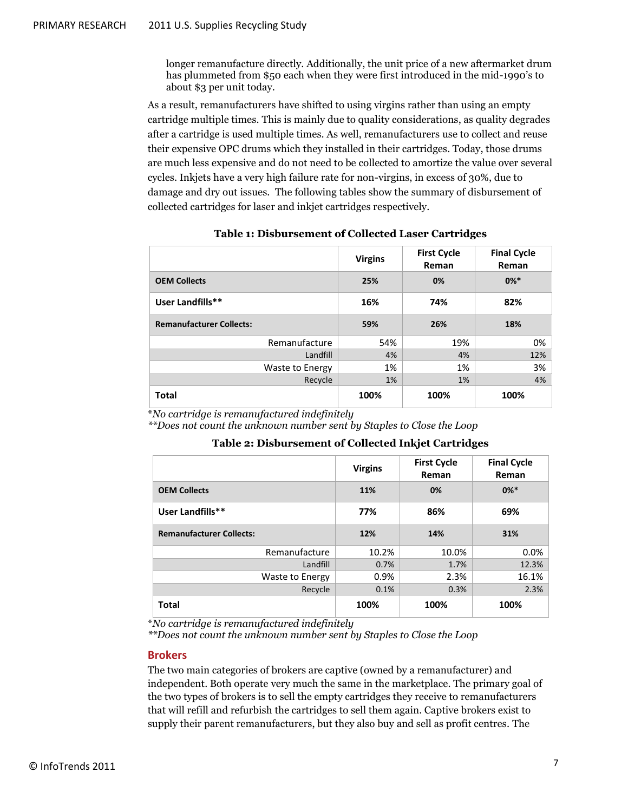longer remanufacture directly. Additionally, the unit price of a new aftermarket drum has plummeted from \$50 each when they were first introduced in the mid-1990's to about \$3 per unit today.

As a result, remanufacturers have shifted to using virgins rather than using an empty cartridge multiple times. This is mainly due to quality considerations, as quality degrades after a cartridge is used multiple times. As well, remanufacturers use to collect and reuse their expensive OPC drums which they installed in their cartridges. Today, those drums are much less expensive and do not need to be collected to amortize the value over several cycles. Inkjets have a very high failure rate for non-virgins, in excess of 30%, due to damage and dry out issues. The following tables show the summary of disbursement of collected cartridges for laser and inkjet cartridges respectively.

<span id="page-6-1"></span>

|                                 | <b>Virgins</b> | <b>First Cycle</b><br>Reman | <b>Final Cycle</b><br>Reman |
|---------------------------------|----------------|-----------------------------|-----------------------------|
| <b>OEM Collects</b>             | 25%            | 0%                          | $0\%*$                      |
| User Landfills**                | 16%            | 74%                         | 82%                         |
| <b>Remanufacturer Collects:</b> | 59%            | 26%                         | 18%                         |
| Remanufacture                   | 54%            | 19%                         | 0%                          |
| Landfill                        | 4%             | 4%                          | 12%                         |
| Waste to Energy                 | 1%             | 1%                          | 3%                          |
| Recycle                         | 1%             | 1%                          | 4%                          |
| <b>Total</b>                    | 100%           | 100%                        | 100%                        |

| <b>Table 1: Disbursement of Collected Laser Cartridges</b> |  |  |  |
|------------------------------------------------------------|--|--|--|
|------------------------------------------------------------|--|--|--|

\**No cartridge is remanufactured indefinitely*

<span id="page-6-2"></span>*\*\*Does not count the unknown number sent by Staples to Close the Loop*

#### **Table 2: Disbursement of Collected Inkjet Cartridges**

|                                 | <b>Virgins</b> | <b>First Cycle</b><br>Reman | <b>Final Cycle</b><br>Reman |
|---------------------------------|----------------|-----------------------------|-----------------------------|
| <b>OEM Collects</b>             | 11%            | 0%                          | $0\%*$                      |
| User Landfills**                | 77%            | 86%                         | 69%                         |
| <b>Remanufacturer Collects:</b> | 12%            | 14%                         | 31%                         |
| Remanufacture                   | 10.2%          | 10.0%                       | 0.0%                        |
| Landfill                        | 0.7%           | 1.7%                        | 12.3%                       |
| Waste to Energy                 | 0.9%           | 2.3%                        | 16.1%                       |
| Recycle                         | 0.1%           | 0.3%                        | 2.3%                        |
| <b>Total</b>                    | 100%           | 100%                        | 100%                        |

\**No cartridge is remanufactured indefinitely*

*\*\*Does not count the unknown number sent by Staples to Close the Loop*

#### <span id="page-6-0"></span>**Brokers**

The two main categories of brokers are captive (owned by a remanufacturer) and independent. Both operate very much the same in the marketplace. The primary goal of the two types of brokers is to sell the empty cartridges they receive to remanufacturers that will refill and refurbish the cartridges to sell them again. Captive brokers exist to supply their parent remanufacturers, but they also buy and sell as profit centres. The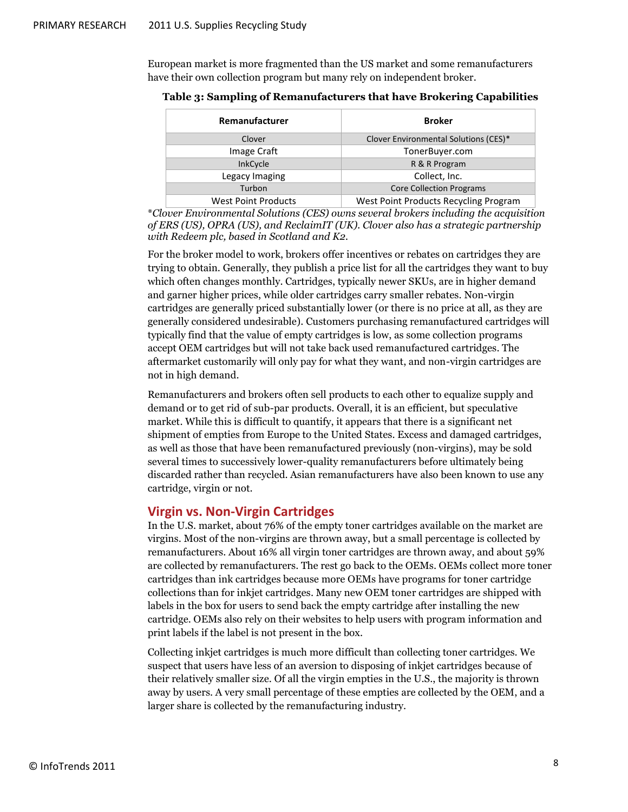European market is more fragmented than the US market and some remanufacturers have their own collection program but many rely on independent broker.

| Remanufacturer      | <b>Broker</b>                         |
|---------------------|---------------------------------------|
| Clover              | Clover Environmental Solutions (CES)* |
| Image Craft         | TonerBuyer.com                        |
| <b>InkCycle</b>     | R & R Program                         |
| Legacy Imaging      | Collect, Inc.                         |
| Turbon              | <b>Core Collection Programs</b>       |
| Wast Doint Droducts | Most Doint Products Resussing Program |

<span id="page-7-1"></span>**Table 3: Sampling of Remanufacturers that have Brokering Capabilities**

West Point Products Mest Point Products Recycling Program \**Clover Environmental Solutions (CES) owns several brokers including the acquisition of ERS (US), OPRA (US), and ReclaimIT (UK). Clover also has a strategic partnership with Redeem plc, based in Scotland and K2.*

For the broker model to work, brokers offer incentives or rebates on cartridges they are trying to obtain. Generally, they publish a price list for all the cartridges they want to buy which often changes monthly. Cartridges, typically newer SKUs, are in higher demand and garner higher prices, while older cartridges carry smaller rebates. Non-virgin cartridges are generally priced substantially lower (or there is no price at all, as they are generally considered undesirable). Customers purchasing remanufactured cartridges will typically find that the value of empty cartridges is low, as some collection programs accept OEM cartridges but will not take back used remanufactured cartridges. The aftermarket customarily will only pay for what they want, and non-virgin cartridges are not in high demand.

Remanufacturers and brokers often sell products to each other to equalize supply and demand or to get rid of sub-par products. Overall, it is an efficient, but speculative market. While this is difficult to quantify, it appears that there is a significant net shipment of empties from Europe to the United States. Excess and damaged cartridges, as well as those that have been remanufactured previously (non-virgins), may be sold several times to successively lower-quality remanufacturers before ultimately being discarded rather than recycled. Asian remanufacturers have also been known to use any cartridge, virgin or not.

#### <span id="page-7-0"></span>**Virgin vs. Non-Virgin Cartridges**

In the U.S. market, about 76% of the empty toner cartridges available on the market are virgins. Most of the non-virgins are thrown away, but a small percentage is collected by remanufacturers. About 16% all virgin toner cartridges are thrown away, and about 59% are collected by remanufacturers. The rest go back to the OEMs. OEMs collect more toner cartridges than ink cartridges because more OEMs have programs for toner cartridge collections than for inkjet cartridges. Many new OEM toner cartridges are shipped with labels in the box for users to send back the empty cartridge after installing the new cartridge. OEMs also rely on their websites to help users with program information and print labels if the label is not present in the box.

Collecting inkjet cartridges is much more difficult than collecting toner cartridges. We suspect that users have less of an aversion to disposing of inkjet cartridges because of their relatively smaller size. Of all the virgin empties in the U.S., the majority is thrown away by users. A very small percentage of these empties are collected by the OEM, and a larger share is collected by the remanufacturing industry.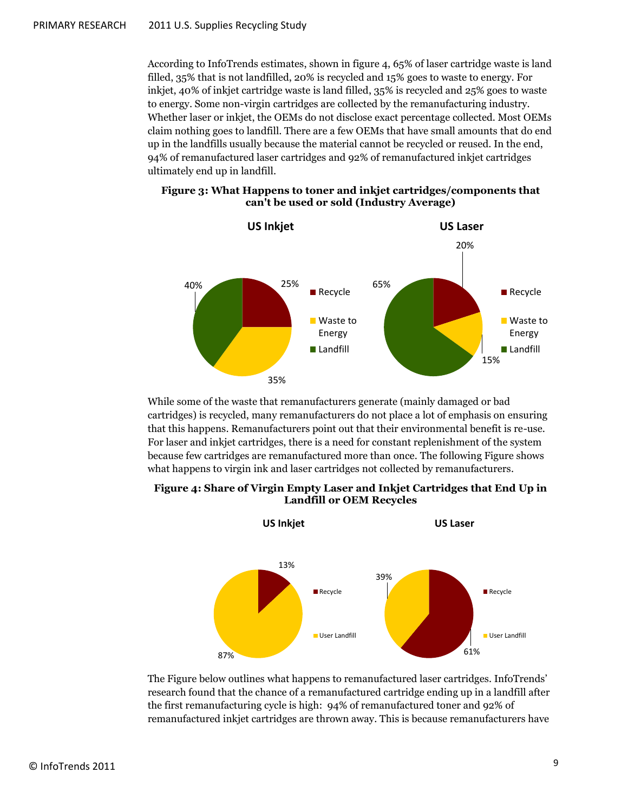According to InfoTrends estimates, shown in figure 4, 65% of laser cartridge waste is land filled, 35% that is not landfilled, 20% is recycled and 15% goes to waste to energy. For inkjet, 40% of inkjet cartridge waste is land filled, 35% is recycled and 25% goes to waste to energy. Some non-virgin cartridges are collected by the remanufacturing industry. Whether laser or inkjet, the OEMs do not disclose exact percentage collected. Most OEMs claim nothing goes to landfill. There are a few OEMs that have small amounts that do end up in the landfills usually because the material cannot be recycled or reused. In the end, 94% of remanufactured laser cartridges and 92% of remanufactured inkjet cartridges ultimately end up in landfill.

<span id="page-8-0"></span>



While some of the waste that remanufacturers generate (mainly damaged or bad cartridges) is recycled, many remanufacturers do not place a lot of emphasis on ensuring that this happens. Remanufacturers point out that their environmental benefit is re-use. For laser and inkjet cartridges, there is a need for constant replenishment of the system because few cartridges are remanufactured more than once. The following Figure shows what happens to virgin ink and laser cartridges not collected by remanufacturers.

<span id="page-8-1"></span>



The Figure below outlines what happens to remanufactured laser cartridges. InfoTrends' research found that the chance of a remanufactured cartridge ending up in a landfill after the first remanufacturing cycle is high: 94% of remanufactured toner and 92% of remanufactured inkjet cartridges are thrown away. This is because remanufacturers have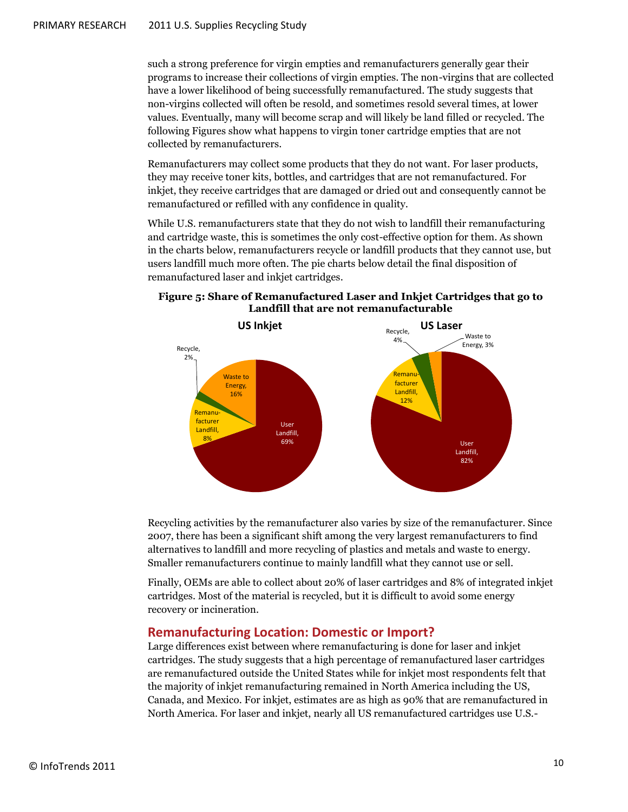such a strong preference for virgin empties and remanufacturers generally gear their programs to increase their collections of virgin empties. The non-virgins that are collected have a lower likelihood of being successfully remanufactured. The study suggests that non-virgins collected will often be resold, and sometimes resold several times, at lower values. Eventually, many will become scrap and will likely be land filled or recycled. The following Figures show what happens to virgin toner cartridge empties that are not collected by remanufacturers.

Remanufacturers may collect some products that they do not want. For laser products, they may receive toner kits, bottles, and cartridges that are not remanufactured. For inkjet, they receive cartridges that are damaged or dried out and consequently cannot be remanufactured or refilled with any confidence in quality.

While U.S. remanufacturers state that they do not wish to landfill their remanufacturing and cartridge waste, this is sometimes the only cost-effective option for them. As shown in the charts below, remanufacturers recycle or landfill products that they cannot use, but users landfill much more often. The pie charts below detail the final disposition of remanufactured laser and inkjet cartridges.



#### <span id="page-9-1"></span>**Figure 5: Share of Remanufactured Laser and Inkjet Cartridges that go to Landfill that are not remanufacturable**

Recycling activities by the remanufacturer also varies by size of the remanufacturer. Since 2007, there has been a significant shift among the very largest remanufacturers to find alternatives to landfill and more recycling of plastics and metals and waste to energy. Smaller remanufacturers continue to mainly landfill what they cannot use or sell.

Finally, OEMs are able to collect about 20% of laser cartridges and 8% of integrated inkjet cartridges. Most of the material is recycled, but it is difficult to avoid some energy recovery or incineration.

#### <span id="page-9-0"></span>**Remanufacturing Location: Domestic or Import?**

Large differences exist between where remanufacturing is done for laser and inkjet cartridges. The study suggests that a high percentage of remanufactured laser cartridges are remanufactured outside the United States while for inkjet most respondents felt that the majority of inkjet remanufacturing remained in North America including the US, Canada, and Mexico. For inkjet, estimates are as high as 90% that are remanufactured in North America. For laser and inkjet, nearly all US remanufactured cartridges use U.S.-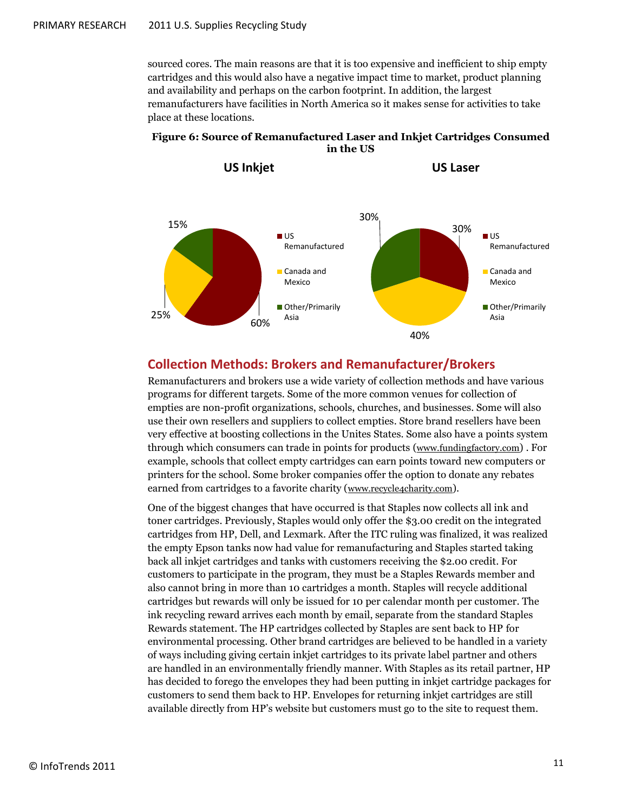sourced cores. The main reasons are that it is too expensive and inefficient to ship empty cartridges and this would also have a negative impact time to market, product planning and availability and perhaps on the carbon footprint. In addition, the largest remanufacturers have facilities in North America so it makes sense for activities to take place at these locations.

#### <span id="page-10-1"></span>**Figure 6: Source of Remanufactured Laser and Inkjet Cartridges Consumed in the US**



#### <span id="page-10-0"></span>**Collection Methods: Brokers and Remanufacturer/Brokers**

Remanufacturers and brokers use a wide variety of collection methods and have various programs for different targets. Some of the more common venues for collection of empties are non-profit organizations, schools, churches, and businesses. Some will also use their own resellers and suppliers to collect empties. Store brand resellers have been very effective at boosting collections in the Unites States. Some also have a points system through which consumers can trade in points for products ([www.fundingfactory.com](http://www.fundingfactory.com/)) . For example, schools that collect empty cartridges can earn points toward new computers or printers for the school. Some broker companies offer the option to donate any rebates earned from cartridges to a favorite charity ([www.recycle4charity.com](http://www.recycle4charity.com/)).

One of the biggest changes that have occurred is that Staples now collects all ink and toner cartridges. Previously, Staples would only offer the \$3.00 credit on the integrated cartridges from HP, Dell, and Lexmark. After the ITC ruling was finalized, it was realized the empty Epson tanks now had value for remanufacturing and Staples started taking back all inkjet cartridges and tanks with customers receiving the \$2.00 credit. For customers to participate in the program, they must be a Staples Rewards member and also cannot bring in more than 10 cartridges a month. Staples will recycle additional cartridges but rewards will only be issued for 10 per calendar month per customer. The ink recycling reward arrives each month by email, separate from the standard Staples Rewards statement. The HP cartridges collected by Staples are sent back to HP for environmental processing. Other brand cartridges are believed to be handled in a variety of ways including giving certain inkjet cartridges to its private label partner and others are handled in an environmentally friendly manner. With Staples as its retail partner, HP has decided to forego the envelopes they had been putting in inkjet cartridge packages for customers to send them back to HP. Envelopes for returning inkjet cartridges are still available directly from HP's website but customers must go to the site to request them.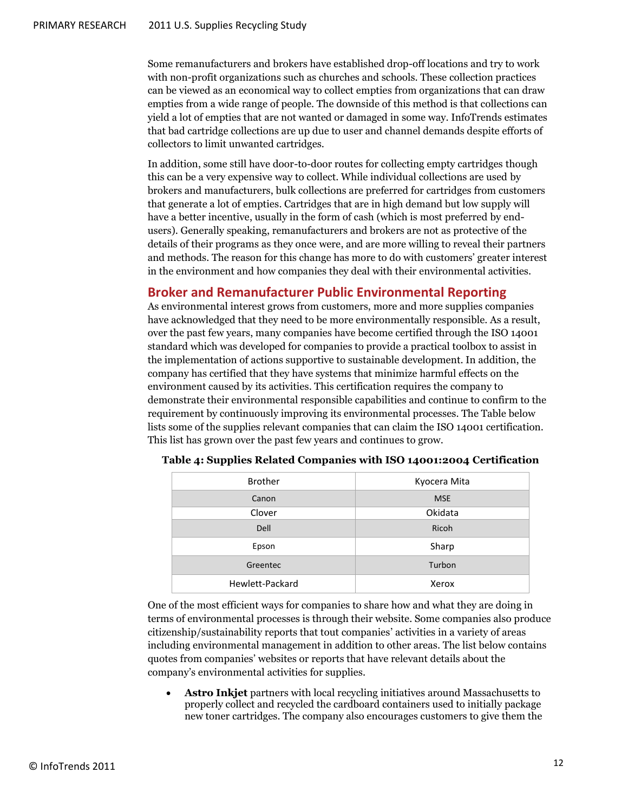Some remanufacturers and brokers have established drop-off locations and try to work with non-profit organizations such as churches and schools. These collection practices can be viewed as an economical way to collect empties from organizations that can draw empties from a wide range of people. The downside of this method is that collections can yield a lot of empties that are not wanted or damaged in some way. InfoTrends estimates that bad cartridge collections are up due to user and channel demands despite efforts of collectors to limit unwanted cartridges.

In addition, some still have door-to-door routes for collecting empty cartridges though this can be a very expensive way to collect. While individual collections are used by brokers and manufacturers, bulk collections are preferred for cartridges from customers that generate a lot of empties. Cartridges that are in high demand but low supply will have a better incentive, usually in the form of cash (which is most preferred by endusers). Generally speaking, remanufacturers and brokers are not as protective of the details of their programs as they once were, and are more willing to reveal their partners and methods. The reason for this change has more to do with customers' greater interest in the environment and how companies they deal with their environmental activities.

#### <span id="page-11-0"></span>**Broker and Remanufacturer Public Environmental Reporting**

As environmental interest grows from customers, more and more supplies companies have acknowledged that they need to be more environmentally responsible. As a result, over the past few years, many companies have become certified through the ISO 14001 standard which was developed for companies to provide a practical toolbox to assist in the implementation of actions supportive to sustainable development. In addition, the company has certified that they have systems that minimize harmful effects on the environment caused by its activities. This certification requires the company to demonstrate their environmental responsible capabilities and continue to confirm to the requirement by continuously improving its environmental processes. The Table below lists some of the supplies relevant companies that can claim the ISO 14001 certification. This list has grown over the past few years and continues to grow.

| <b>Brother</b>  | Kyocera Mita |
|-----------------|--------------|
| Canon           | <b>MSE</b>   |
| Clover          | Okidata      |
| <b>Dell</b>     | Ricoh        |
| Epson           | Sharp        |
| Greentec        | Turbon       |
| Hewlett-Packard | Xerox        |

<span id="page-11-1"></span>**Table 4: Supplies Related Companies with ISO 14001:2004 Certification**

One of the most efficient ways for companies to share how and what they are doing in terms of environmental processes is through their website. Some companies also produce citizenship/sustainability reports that tout companies' activities in a variety of areas including environmental management in addition to other areas. The list below contains quotes from companies' websites or reports that have relevant details about the company's environmental activities for supplies.

 **Astro Inkjet** partners with local recycling initiatives around Massachusetts to properly collect and recycled the cardboard containers used to initially package new toner cartridges. The company also encourages customers to give them the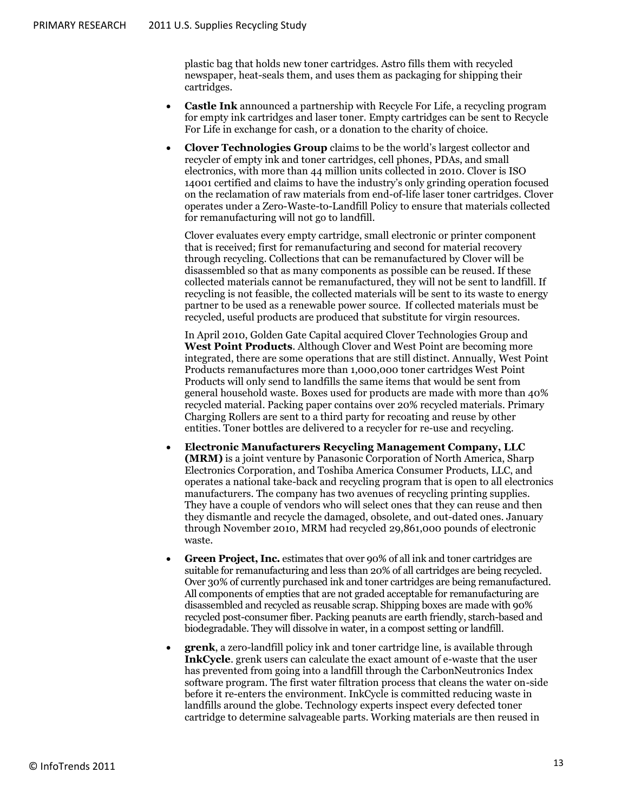plastic bag that holds new toner cartridges. Astro fills them with recycled newspaper, heat-seals them, and uses them as packaging for shipping their cartridges.

- **Castle Ink** announced a partnership with [Recycle For Life,](http://www.usedcartridge.com/) a recycling program for empty ink cartridges and laser toner. Empty cartridges can be sent to Recycle For Life in exchange for cash, or a donation to the charity of choice.
- **Clover Technologies Group** claims to be the world's largest collector and recycler of empty ink and toner cartridges, cell phones, PDAs, and small electronics, with more than 44 million units collected in 2010. Clover is ISO 14001 certified and claims to have the industry's only grinding operation focused on the reclamation of raw materials from end-of-life laser toner cartridges. Clover operates under a Zero-Waste-to-Landfill Policy to ensure that materials collected for remanufacturing will not go to landfill.

Clover evaluates every empty cartridge, small electronic or printer component that is received; first for remanufacturing and second for material recovery through recycling. Collections that can be remanufactured by Clover will be disassembled so that as many components as possible can be reused. If these collected materials cannot be remanufactured, they will not be sent to landfill. If recycling is not feasible, the collected materials will be sent to its waste to energy partner to be used as a renewable power source. If collected materials must be recycled, useful products are produced that substitute for virgin resources.

In April 2010, Golden Gate Capital acquired Clover Technologies Group and **West Point Products**. Although Clover and West Point are becoming more integrated, there are some operations that are still distinct. Annually, West Point Products remanufactures more than 1,000,000 toner cartridges West Point Products will only send to landfills the same items that would be sent from general household waste. Boxes used for products are made with more than 40% recycled material. Packing paper contains over 20% recycled materials. Primary Charging Rollers are sent to a third party for recoating and reuse by other entities. Toner bottles are delivered to a recycler for re-use and recycling.

- **Electronic Manufacturers Recycling Management Company, LLC (MRM)** is a joint venture by Panasonic Corporation of North America, Sharp Electronics Corporation, and Toshiba America Consumer Products, LLC, and operates a national take-back and recycling program that is open to all electronics manufacturers. The company has two avenues of recycling printing supplies. They have a couple of vendors who will select ones that they can reuse and then they dismantle and recycle the damaged, obsolete, and out-dated ones. January through November 2010, MRM had recycled 29,861,000 pounds of electronic waste.
- **Green Project, Inc.** estimates that over 90% of all ink and toner cartridges are suitable for remanufacturing and less than 20% of all cartridges are being recycled. Over 30% of currently purchased ink and toner cartridges are being remanufactured. All components of empties that are not graded acceptable for remanufacturing are disassembled and recycled as reusable scrap. Shipping boxes are made with 90% recycled post-consumer fiber. Packing peanuts are earth friendly, starch-based and biodegradable. They will dissolve in water, in a compost setting or landfill.
- **grenk**, a zero-landfill policy ink and toner cartridge line, is available through **InkCycle**. grenk users can calculate the exact amount of e-waste that the user has prevented from going into a landfill through the CarbonNeutronics Index software program. The first water filtration process that cleans the water on-side before it re-enters the environment. InkCycle is committed reducing waste in landfills around the globe. Technology experts inspect every defected toner cartridge to determine salvageable parts. Working materials are then reused in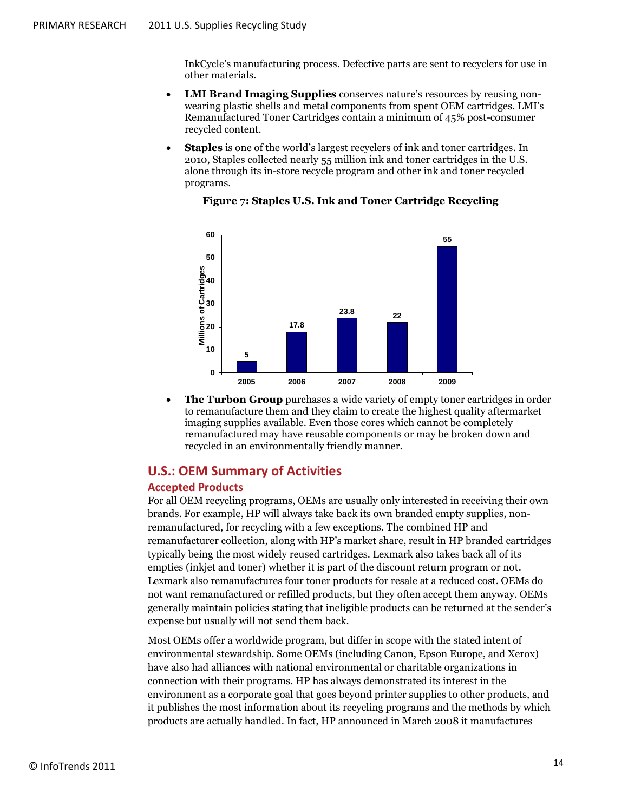InkCycle's manufacturing process. Defective parts are sent to recyclers for use in other materials.

- **LMI Brand Imaging Supplies** conserves nature's resources by reusing nonwearing plastic shells and metal components from spent OEM cartridges. LMI's Remanufactured Toner Cartridges contain a minimum of 45% post-consumer recycled content.
- **Staples** is one of the world's largest recyclers of ink and toner cartridges. In 2010, Staples collected nearly 55 million ink and toner cartridges in the U.S. alone through its in-store recycle program and other ink and toner recycled programs.

<span id="page-13-2"></span>

#### **Figure 7: Staples U.S. Ink and Toner Cartridge Recycling**

 **The Turbon Group** purchases a wide variety of empty toner cartridges in order to remanufacture them and they claim to create the highest quality aftermarket imaging supplies available. Even those cores which cannot be completely remanufactured may have reusable components or may be broken down and recycled in an environmentally friendly manner.

#### <span id="page-13-0"></span>**U.S.: OEM Summary of Activities**

#### <span id="page-13-1"></span>**Accepted Products**

For all OEM recycling programs, OEMs are usually only interested in receiving their own brands. For example, HP will always take back its own branded empty supplies, nonremanufactured, for recycling with a few exceptions. The combined HP and remanufacturer collection, along with HP's market share, result in HP branded cartridges typically being the most widely reused cartridges. Lexmark also takes back all of its empties (inkjet and toner) whether it is part of the discount return program or not. Lexmark also remanufactures four toner products for resale at a reduced cost. OEMs do not want remanufactured or refilled products, but they often accept them anyway. OEMs generally maintain policies stating that ineligible products can be returned at the sender's expense but usually will not send them back.

Most OEMs offer a worldwide program, but differ in scope with the stated intent of environmental stewardship. Some OEMs (including Canon, Epson Europe, and Xerox) have also had alliances with national environmental or charitable organizations in connection with their programs. HP has always demonstrated its interest in the environment as a corporate goal that goes beyond printer supplies to other products, and it publishes the most information about its recycling programs and the methods by which products are actually handled. In fact, HP announced in March 2008 it manufactures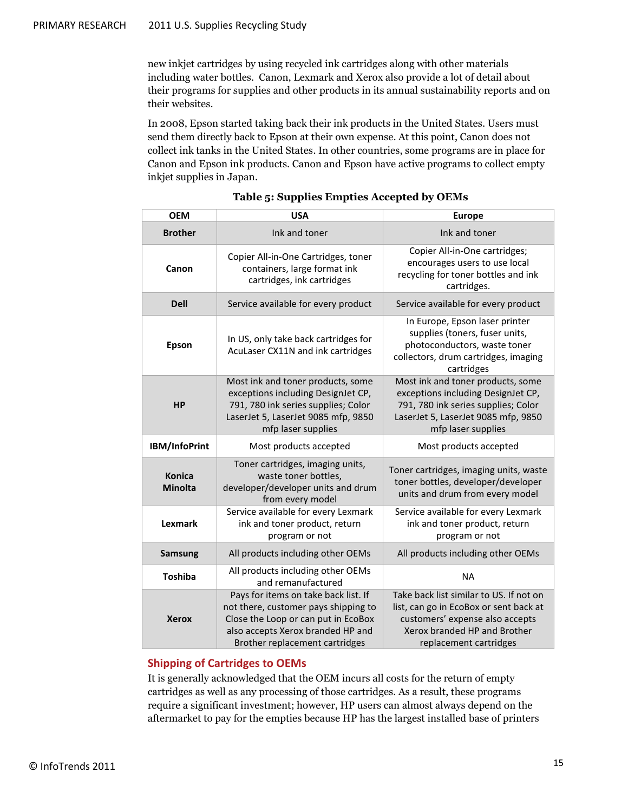new inkjet cartridges by using recycled ink cartridges along with other materials including water bottles. Canon, Lexmark and Xerox also provide a lot of detail about their programs for supplies and other products in its annual sustainability reports and on their websites.

In 2008, Epson started taking back their ink products in the United States. Users must send them directly back to Epson at their own expense. At this point, Canon does not collect ink tanks in the United States. In other countries, some programs are in place for Canon and Epson ink products. Canon and Epson have active programs to collect empty inkjet supplies in Japan.

<span id="page-14-1"></span>

| <b>OEM</b>                                                                                                                                            | <b>USA</b>                                                                                                                                                                                 | <b>Europe</b>                                                                                                                                                                  |  |
|-------------------------------------------------------------------------------------------------------------------------------------------------------|--------------------------------------------------------------------------------------------------------------------------------------------------------------------------------------------|--------------------------------------------------------------------------------------------------------------------------------------------------------------------------------|--|
| <b>Brother</b>                                                                                                                                        | Ink and toner                                                                                                                                                                              | Ink and toner                                                                                                                                                                  |  |
| Copier All-in-One Cartridges, toner<br>containers, large format ink<br>Canon<br>cartridges, ink cartridges                                            |                                                                                                                                                                                            | Copier All-in-One cartridges;<br>encourages users to use local<br>recycling for toner bottles and ink<br>cartridges.                                                           |  |
| <b>Dell</b>                                                                                                                                           | Service available for every product                                                                                                                                                        | Service available for every product                                                                                                                                            |  |
| In US, only take back cartridges for<br>Epson<br>AcuLaser CX11N and ink cartridges                                                                    |                                                                                                                                                                                            | In Europe, Epson laser printer<br>supplies (toners, fuser units,<br>photoconductors, waste toner<br>collectors, drum cartridges, imaging<br>cartridges                         |  |
| <b>HP</b>                                                                                                                                             | Most ink and toner products, some<br>exceptions including DesignJet CP,<br>791, 780 ink series supplies; Color<br>LaserJet 5, LaserJet 9085 mfp, 9850<br>mfp laser supplies                | Most ink and toner products, some<br>exceptions including DesignJet CP,<br>791, 780 ink series supplies; Color<br>LaserJet 5, LaserJet 9085 mfp, 9850<br>mfp laser supplies    |  |
| IBM/InfoPrint                                                                                                                                         | Most products accepted                                                                                                                                                                     | Most products accepted                                                                                                                                                         |  |
| Toner cartridges, imaging units,<br><b>Konica</b><br>waste toner bottles,<br><b>Minolta</b><br>developer/developer units and drum<br>from every model |                                                                                                                                                                                            | Toner cartridges, imaging units, waste<br>toner bottles, developer/developer<br>units and drum from every model                                                                |  |
| Service available for every Lexmark<br>Lexmark<br>ink and toner product, return<br>program or not                                                     |                                                                                                                                                                                            | Service available for every Lexmark<br>ink and toner product, return<br>program or not                                                                                         |  |
| All products including other OEMs<br><b>Samsung</b>                                                                                                   |                                                                                                                                                                                            | All products including other OEMs                                                                                                                                              |  |
| <b>Toshiba</b>                                                                                                                                        | All products including other OEMs<br>and remanufactured                                                                                                                                    | <b>NA</b>                                                                                                                                                                      |  |
| <b>Xerox</b>                                                                                                                                          | Pays for items on take back list. If<br>not there, customer pays shipping to<br>Close the Loop or can put in EcoBox<br>also accepts Xerox branded HP and<br>Brother replacement cartridges | Take back list similar to US. If not on<br>list, can go in EcoBox or sent back at<br>customers' expense also accepts<br>Xerox branded HP and Brother<br>replacement cartridges |  |

#### **Table 5: Supplies Empties Accepted by OEMs**

#### <span id="page-14-0"></span>**Shipping of Cartridges to OEMs**

It is generally acknowledged that the OEM incurs all costs for the return of empty cartridges as well as any processing of those cartridges. As a result, these programs require a significant investment; however, HP users can almost always depend on the aftermarket to pay for the empties because HP has the largest installed base of printers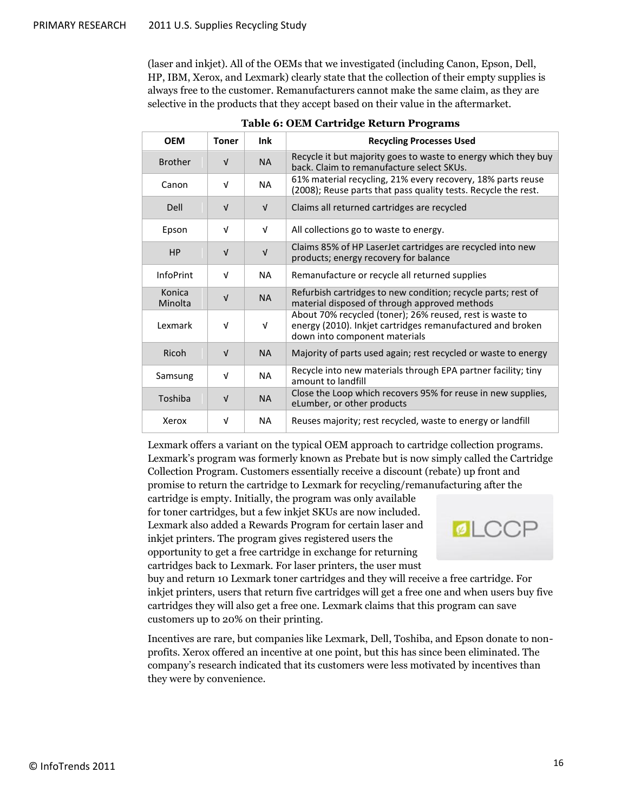(laser and inkjet). All of the OEMs that we investigated (including Canon, Epson, Dell, HP, IBM, Xerox, and Lexmark) clearly state that the collection of their empty supplies is always free to the customer. Remanufacturers cannot make the same claim, as they are selective in the products that they accept based on their value in the aftermarket.

<span id="page-15-0"></span>

| <b>OEM</b>        | <b>Toner</b> | Ink        | <b>Recycling Processes Used</b>                                                                                                                         |
|-------------------|--------------|------------|---------------------------------------------------------------------------------------------------------------------------------------------------------|
| <b>Brother</b>    | $\sqrt{ }$   | <b>NA</b>  | Recycle it but majority goes to waste to energy which they buy<br>back. Claim to remanufacture select SKUs.                                             |
| Canon             | v            | <b>NA</b>  | 61% material recycling, 21% every recovery, 18% parts reuse<br>(2008); Reuse parts that pass quality tests. Recycle the rest.                           |
| Dell              | $\sqrt{ }$   | $\sqrt{ }$ | Claims all returned cartridges are recycled                                                                                                             |
| Epson             | $\sqrt{ }$   | V          | All collections go to waste to energy.                                                                                                                  |
| <b>HP</b>         | $\sqrt{ }$   | $\sqrt{ }$ | Claims 85% of HP LaserJet cartridges are recycled into new<br>products; energy recovery for balance                                                     |
| <b>InfoPrint</b>  | $\sqrt{ }$   | <b>NA</b>  | Remanufacture or recycle all returned supplies                                                                                                          |
| Konica<br>Minolta | $\sqrt{ }$   | <b>NA</b>  | Refurbish cartridges to new condition; recycle parts; rest of<br>material disposed of through approved methods                                          |
| Lexmark           | v            | V          | About 70% recycled (toner); 26% reused, rest is waste to<br>energy (2010). Inkjet cartridges remanufactured and broken<br>down into component materials |
| Ricoh             | $\sqrt{ }$   | <b>NA</b>  | Majority of parts used again; rest recycled or waste to energy                                                                                          |
| Samsung           | $\sqrt{ }$   | <b>NA</b>  | Recycle into new materials through EPA partner facility; tiny<br>amount to landfill                                                                     |
| Toshiba           | $\sqrt{ }$   | <b>NA</b>  | Close the Loop which recovers 95% for reuse in new supplies,<br>eLumber, or other products                                                              |
| Xerox             | v            | <b>NA</b>  | Reuses majority; rest recycled, waste to energy or landfill                                                                                             |

**Table 6: OEM Cartridge Return Programs** 

Lexmark offers a variant on the typical OEM approach to cartridge collection programs. Lexmark's program was formerly known as Prebate but is now simply called the Cartridge Collection Program. Customers essentially receive a discount (rebate) up front and promise to return the cartridge to Lexmark for recycling/remanufacturing after the

cartridge is empty. Initially, the program was only available for toner cartridges, but a few inkjet SKUs are now included. Lexmark also added a Rewards Program for certain laser and inkjet printers. The program gives registered users the opportunity to get a free cartridge in exchange for returning cartridges back to Lexmark. For laser printers, the user must



buy and return 10 Lexmark toner cartridges and they will receive a free cartridge. For inkjet printers, users that return five cartridges will get a free one and when users buy five cartridges they will also get a free one. Lexmark claims that this program can save customers up to 20% on their printing.

Incentives are rare, but companies like Lexmark, Dell, Toshiba, and Epson donate to nonprofits. Xerox offered an incentive at one point, but this has since been eliminated. The company's research indicated that its customers were less motivated by incentives than they were by convenience.